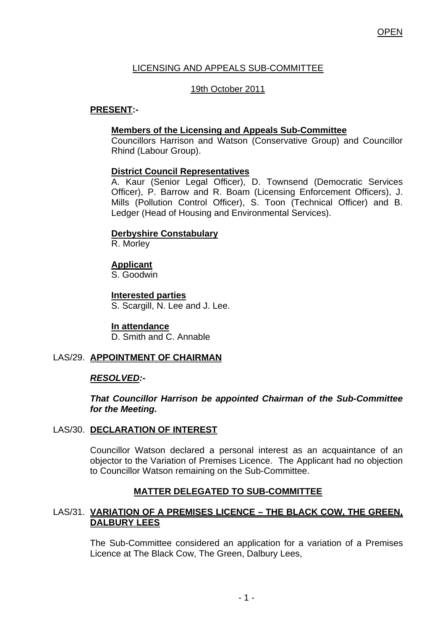# LICENSING AND APPEALS SUB-COMMITTEE

## 19th October 2011

## **PRESENT:-**

## **Members of the Licensing and Appeals Sub-Committee**

 Councillors Harrison and Watson (Conservative Group) and Councillor Rhind (Labour Group).

### **District Council Representatives**

 A. Kaur (Senior Legal Officer), D. Townsend (Democratic Services Officer), P. Barrow and R. Boam (Licensing Enforcement Officers), J. Mills (Pollution Control Officer), S. Toon (Technical Officer) and B. Ledger (Head of Housing and Environmental Services).

### **Derbyshire Constabulary**

R. Morley

### **Applicant**

S. Goodwin

**Interested parties** S. Scargill, N. Lee and J. Lee.

**In attendance** D. Smith and C. Annable

## LAS/29. **APPOINTMENT OF CHAIRMAN**

#### *RESOLVED:-*

*That Councillor Harrison be appointed Chairman of the Sub-Committee for the Meeting.*

## LAS/30. **DECLARATION OF INTEREST**

Councillor Watson declared a personal interest as an acquaintance of an objector to the Variation of Premises Licence. The Applicant had no objection to Councillor Watson remaining on the Sub-Committee.

## **MATTER DELEGATED TO SUB-COMMITTEE**

### LAS/31. **VARIATION OF A PREMISES LICENCE – THE BLACK COW, THE GREEN, DALBURY LEES**

The Sub-Committee considered an application for a variation of a Premises Licence at The Black Cow, The Green, Dalbury Lees,